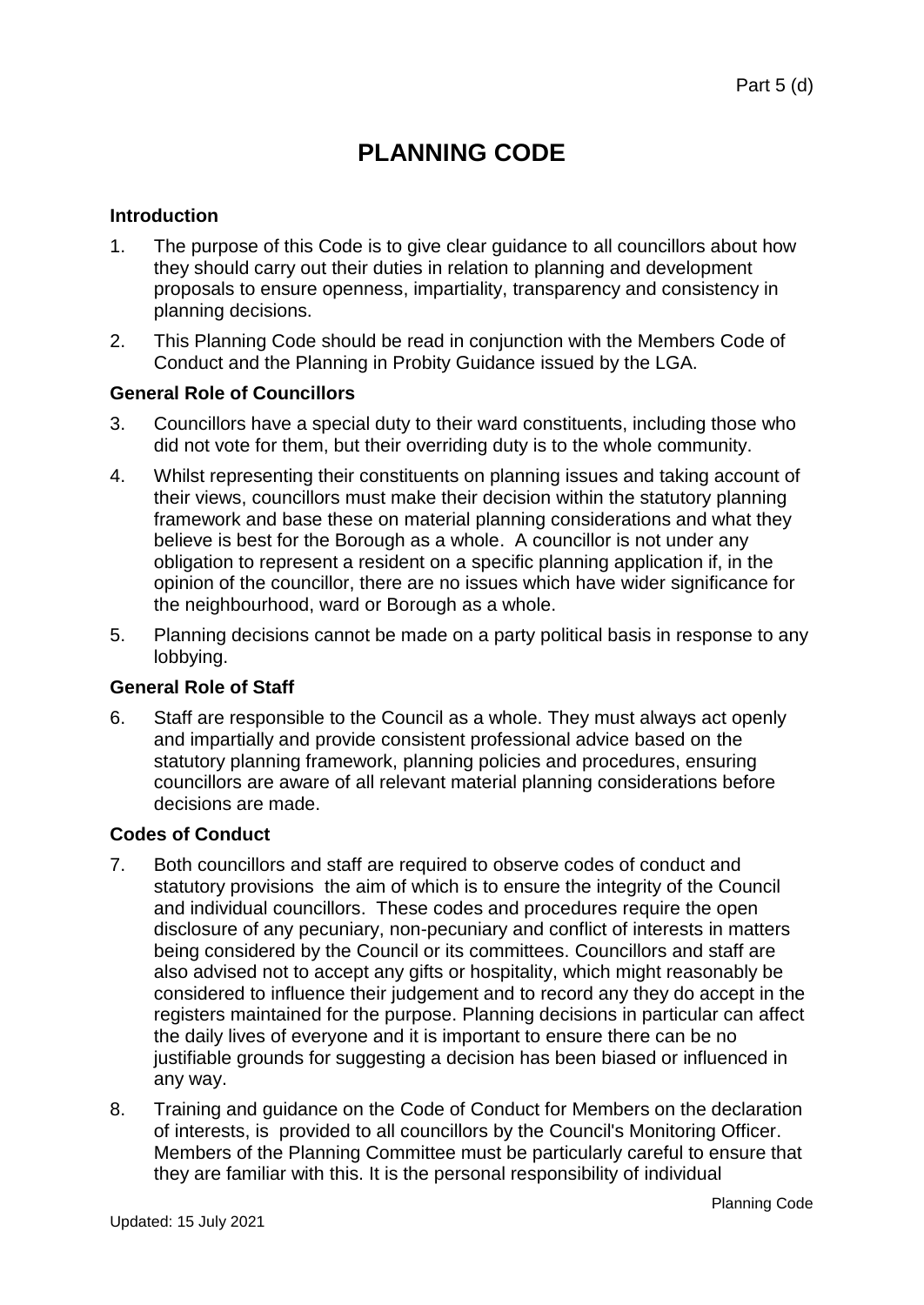# **PLANNING CODE**

# **Introduction**

- 1. The purpose of this Code is to give clear guidance to all councillors about how they should carry out their duties in relation to planning and development proposals to ensure openness, impartiality, transparency and consistency in planning decisions.
- 2. This Planning Code should be read in conjunction with the Members Code of Conduct and the Planning in Probity Guidance issued by the LGA.

#### **General Role of Councillors**

- 3. Councillors have a special duty to their ward constituents, including those who did not vote for them, but their overriding duty is to the whole community.
- 4. Whilst representing their constituents on planning issues and taking account of their views, councillors must make their decision within the statutory planning framework and base these on material planning considerations and what they believe is best for the Borough as a whole. A councillor is not under any obligation to represent a resident on a specific planning application if, in the opinion of the councillor, there are no issues which have wider significance for the neighbourhood, ward or Borough as a whole.
- 5. Planning decisions cannot be made on a party political basis in response to any lobbying.

#### **General Role of Staff**

6. Staff are responsible to the Council as a whole. They must always act openly and impartially and provide consistent professional advice based on the statutory planning framework, planning policies and procedures, ensuring councillors are aware of all relevant material planning considerations before decisions are made.

#### **Codes of Conduct**

- 7. Both councillors and staff are required to observe codes of conduct and statutory provisions the aim of which is to ensure the integrity of the Council and individual councillors. These codes and procedures require the open disclosure of any pecuniary, non-pecuniary and conflict of interests in matters being considered by the Council or its committees. Councillors and staff are also advised not to accept any gifts or hospitality, which might reasonably be considered to influence their judgement and to record any they do accept in the registers maintained for the purpose. Planning decisions in particular can affect the daily lives of everyone and it is important to ensure there can be no justifiable grounds for suggesting a decision has been biased or influenced in any way.
- 8. Training and guidance on the Code of Conduct for Members on the declaration of interests, is provided to all councillors by the Council's Monitoring Officer. Members of the Planning Committee must be particularly careful to ensure that they are familiar with this. It is the personal responsibility of individual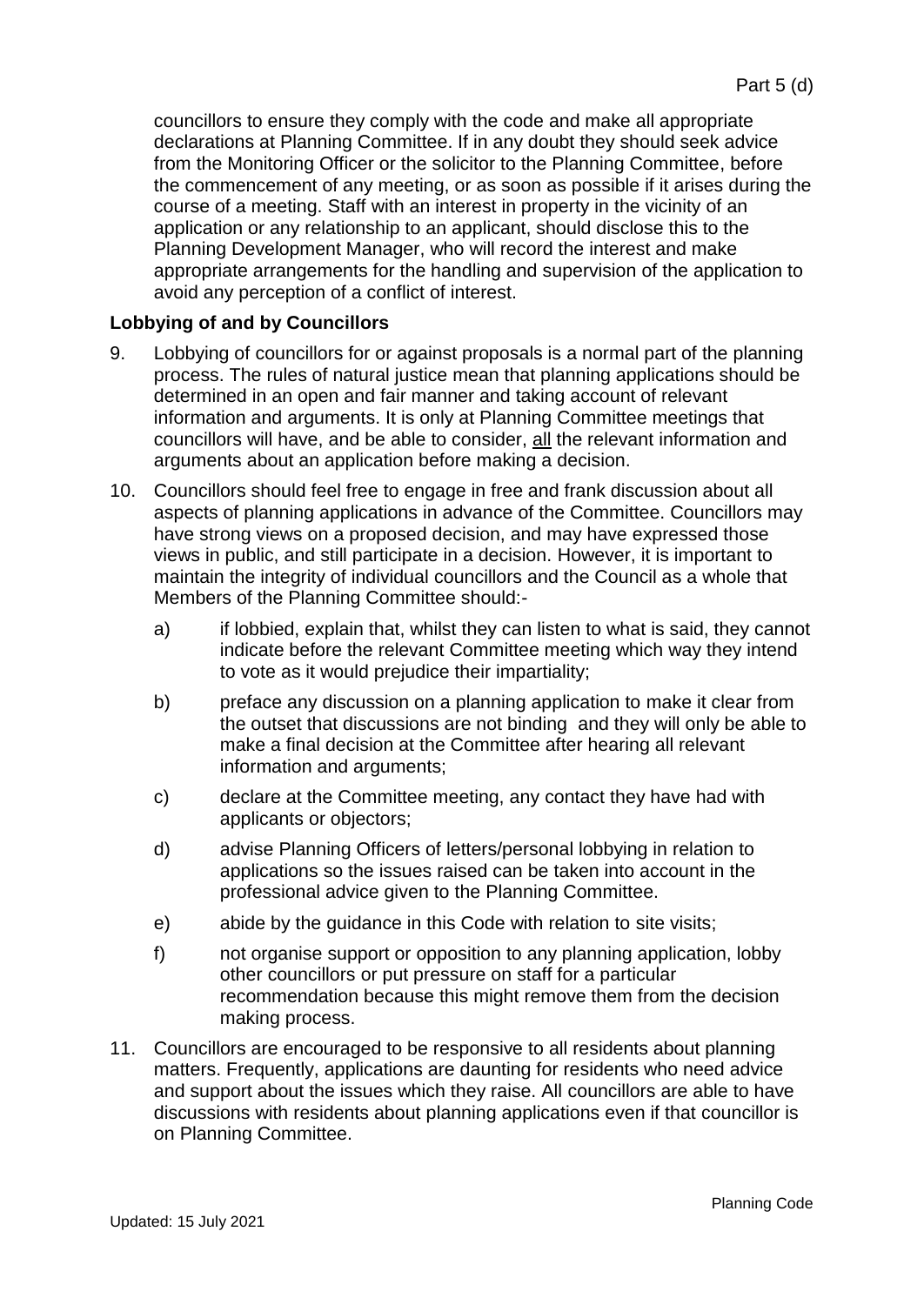councillors to ensure they comply with the code and make all appropriate declarations at Planning Committee. If in any doubt they should seek advice from the Monitoring Officer or the solicitor to the Planning Committee, before the commencement of any meeting, or as soon as possible if it arises during the course of a meeting. Staff with an interest in property in the vicinity of an application or any relationship to an applicant, should disclose this to the Planning Development Manager, who will record the interest and make appropriate arrangements for the handling and supervision of the application to avoid any perception of a conflict of interest.

#### **Lobbying of and by Councillors**

- 9. Lobbying of councillors for or against proposals is a normal part of the planning process. The rules of natural justice mean that planning applications should be determined in an open and fair manner and taking account of relevant information and arguments. It is only at Planning Committee meetings that councillors will have, and be able to consider, all the relevant information and arguments about an application before making a decision.
- 10. Councillors should feel free to engage in free and frank discussion about all aspects of planning applications in advance of the Committee. Councillors may have strong views on a proposed decision, and may have expressed those views in public, and still participate in a decision. However, it is important to maintain the integrity of individual councillors and the Council as a whole that Members of the Planning Committee should:
	- a) if lobbied, explain that, whilst they can listen to what is said, they cannot indicate before the relevant Committee meeting which way they intend to vote as it would prejudice their impartiality;
	- b) preface any discussion on a planning application to make it clear from the outset that discussions are not binding and they will only be able to make a final decision at the Committee after hearing all relevant information and arguments;
	- c) declare at the Committee meeting, any contact they have had with applicants or objectors;
	- d) advise Planning Officers of letters/personal lobbying in relation to applications so the issues raised can be taken into account in the professional advice given to the Planning Committee.
	- e) abide by the guidance in this Code with relation to site visits;
	- f) not organise support or opposition to any planning application, lobby other councillors or put pressure on staff for a particular recommendation because this might remove them from the decision making process.
- 11. Councillors are encouraged to be responsive to all residents about planning matters. Frequently, applications are daunting for residents who need advice and support about the issues which they raise. All councillors are able to have discussions with residents about planning applications even if that councillor is on Planning Committee.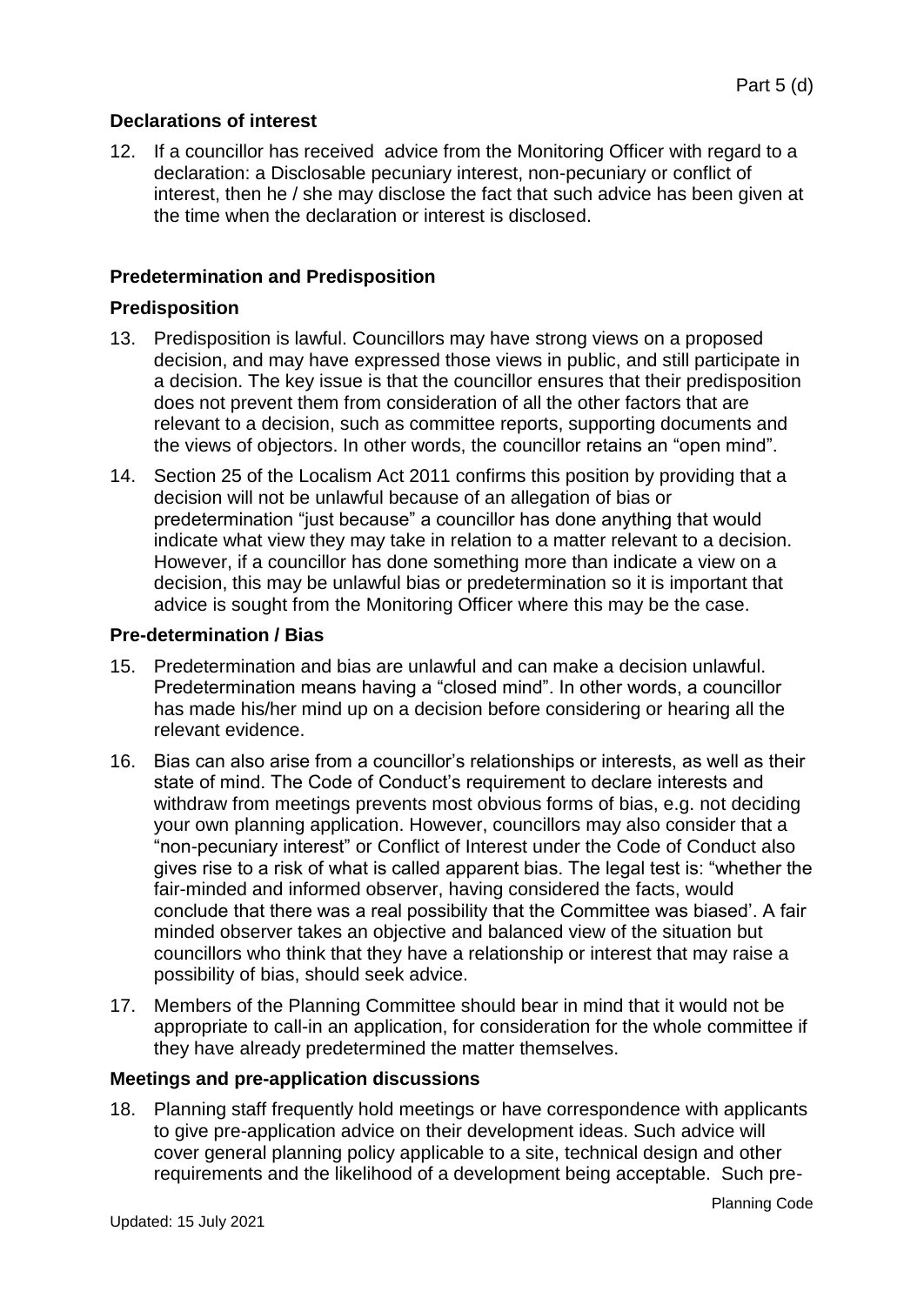# **Declarations of interest**

12. If a councillor has received advice from the Monitoring Officer with regard to a declaration: a Disclosable pecuniary interest, non-pecuniary or conflict of interest, then he / she may disclose the fact that such advice has been given at the time when the declaration or interest is disclosed.

# **Predetermination and Predisposition**

#### **Predisposition**

- 13. Predisposition is lawful. Councillors may have strong views on a proposed decision, and may have expressed those views in public, and still participate in a decision. The key issue is that the councillor ensures that their predisposition does not prevent them from consideration of all the other factors that are relevant to a decision, such as committee reports, supporting documents and the views of objectors. In other words, the councillor retains an "open mind".
- 14. Section 25 of the Localism Act 2011 confirms this position by providing that a decision will not be unlawful because of an allegation of bias or predetermination "just because" a councillor has done anything that would indicate what view they may take in relation to a matter relevant to a decision. However, if a councillor has done something more than indicate a view on a decision, this may be unlawful bias or predetermination so it is important that advice is sought from the Monitoring Officer where this may be the case.

#### **Pre-determination / Bias**

- 15. Predetermination and bias are unlawful and can make a decision unlawful. Predetermination means having a "closed mind". In other words, a councillor has made his/her mind up on a decision before considering or hearing all the relevant evidence.
- 16. Bias can also arise from a councillor's relationships or interests, as well as their state of mind. The Code of Conduct's requirement to declare interests and withdraw from meetings prevents most obvious forms of bias, e.g. not deciding your own planning application. However, councillors may also consider that a "non-pecuniary interest" or Conflict of Interest under the Code of Conduct also gives rise to a risk of what is called apparent bias. The legal test is: "whether the fair-minded and informed observer, having considered the facts, would conclude that there was a real possibility that the Committee was biased'. A fair minded observer takes an objective and balanced view of the situation but councillors who think that they have a relationship or interest that may raise a possibility of bias, should seek advice.
- 17. Members of the Planning Committee should bear in mind that it would not be appropriate to call-in an application, for consideration for the whole committee if they have already predetermined the matter themselves.

#### **Meetings and pre-application discussions**

18. Planning staff frequently hold meetings or have correspondence with applicants to give pre-application advice on their development ideas. Such advice will cover general planning policy applicable to a site, technical design and other requirements and the likelihood of a development being acceptable. Such pre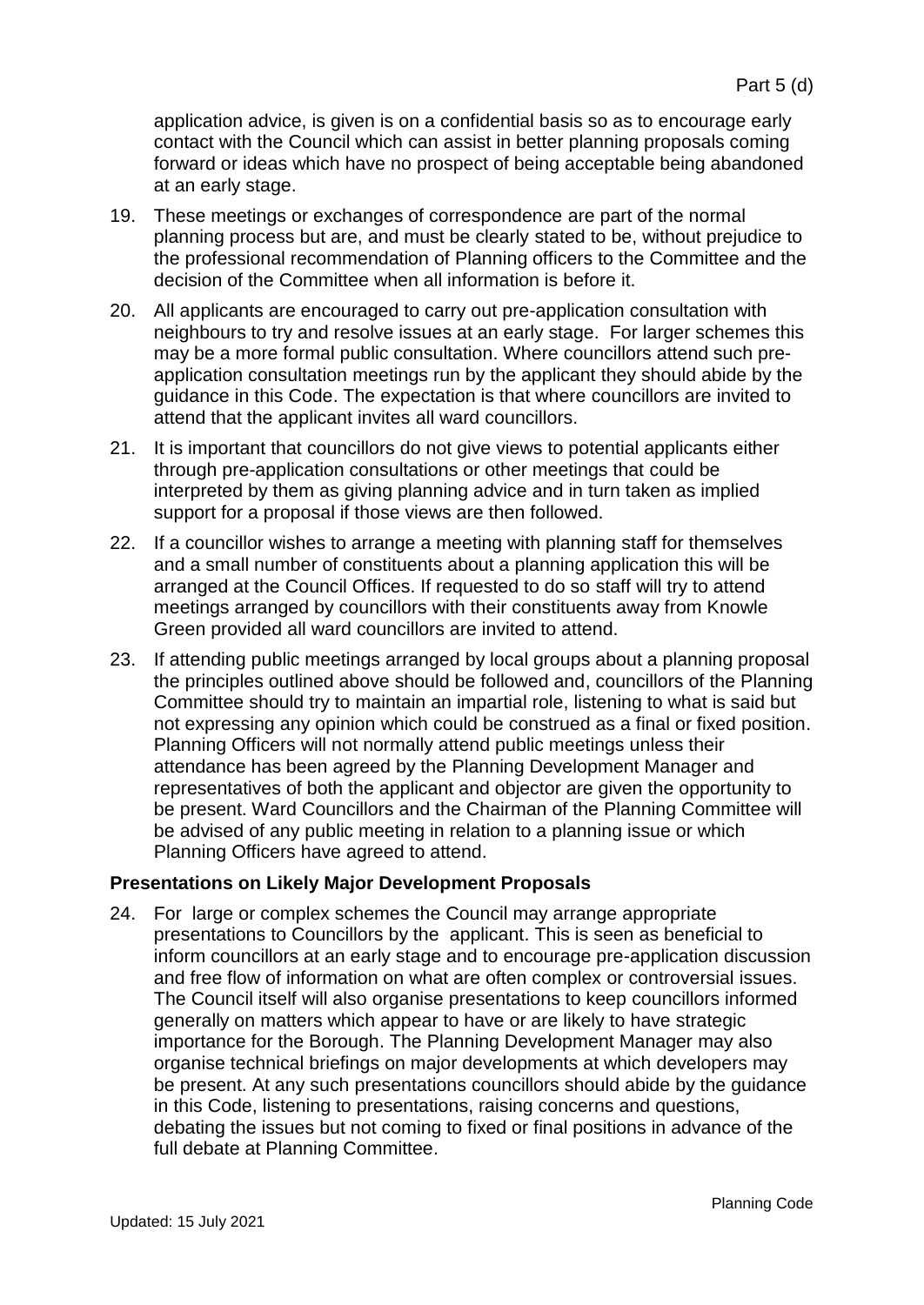application advice, is given is on a confidential basis so as to encourage early contact with the Council which can assist in better planning proposals coming forward or ideas which have no prospect of being acceptable being abandoned at an early stage.

- 19. These meetings or exchanges of correspondence are part of the normal planning process but are, and must be clearly stated to be, without prejudice to the professional recommendation of Planning officers to the Committee and the decision of the Committee when all information is before it.
- 20. All applicants are encouraged to carry out pre-application consultation with neighbours to try and resolve issues at an early stage. For larger schemes this may be a more formal public consultation. Where councillors attend such preapplication consultation meetings run by the applicant they should abide by the guidance in this Code. The expectation is that where councillors are invited to attend that the applicant invites all ward councillors.
- 21. It is important that councillors do not give views to potential applicants either through pre-application consultations or other meetings that could be interpreted by them as giving planning advice and in turn taken as implied support for a proposal if those views are then followed.
- 22. If a councillor wishes to arrange a meeting with planning staff for themselves and a small number of constituents about a planning application this will be arranged at the Council Offices. If requested to do so staff will try to attend meetings arranged by councillors with their constituents away from Knowle Green provided all ward councillors are invited to attend.
- 23. If attending public meetings arranged by local groups about a planning proposal the principles outlined above should be followed and, councillors of the Planning Committee should try to maintain an impartial role, listening to what is said but not expressing any opinion which could be construed as a final or fixed position. Planning Officers will not normally attend public meetings unless their attendance has been agreed by the Planning Development Manager and representatives of both the applicant and objector are given the opportunity to be present. Ward Councillors and the Chairman of the Planning Committee will be advised of any public meeting in relation to a planning issue or which Planning Officers have agreed to attend.

#### **Presentations on Likely Major Development Proposals**

24. For large or complex schemes the Council may arrange appropriate presentations to Councillors by the applicant. This is seen as beneficial to inform councillors at an early stage and to encourage pre-application discussion and free flow of information on what are often complex or controversial issues. The Council itself will also organise presentations to keep councillors informed generally on matters which appear to have or are likely to have strategic importance for the Borough. The Planning Development Manager may also organise technical briefings on major developments at which developers may be present. At any such presentations councillors should abide by the guidance in this Code, listening to presentations, raising concerns and questions, debating the issues but not coming to fixed or final positions in advance of the full debate at Planning Committee.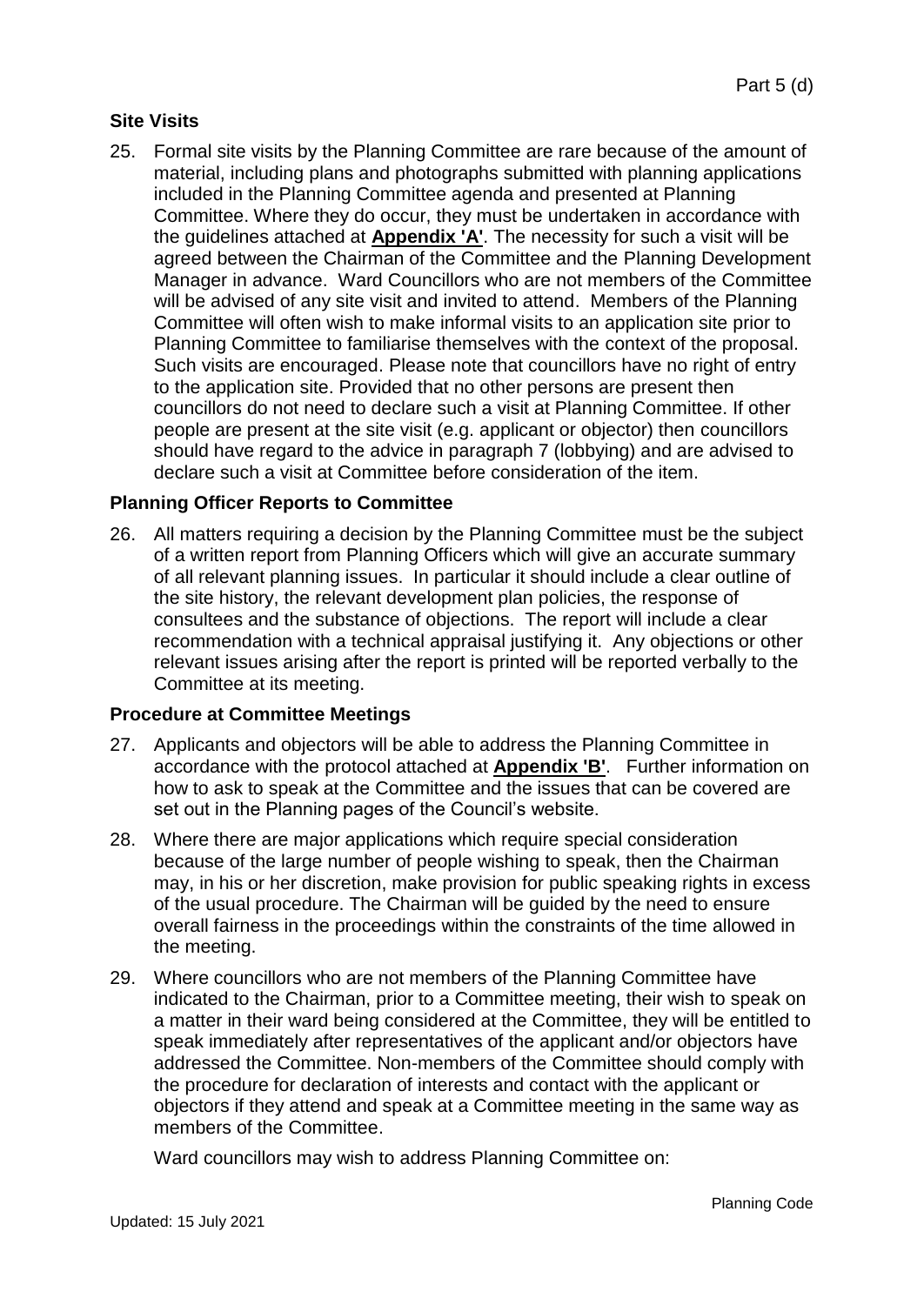# **Site Visits**

25. Formal site visits by the Planning Committee are rare because of the amount of material, including plans and photographs submitted with planning applications included in the Planning Committee agenda and presented at Planning Committee. Where they do occur, they must be undertaken in accordance with the guidelines attached at **Appendix 'A'**. The necessity for such a visit will be agreed between the Chairman of the Committee and the Planning Development Manager in advance. Ward Councillors who are not members of the Committee will be advised of any site visit and invited to attend. Members of the Planning Committee will often wish to make informal visits to an application site prior to Planning Committee to familiarise themselves with the context of the proposal. Such visits are encouraged. Please note that councillors have no right of entry to the application site. Provided that no other persons are present then councillors do not need to declare such a visit at Planning Committee. If other people are present at the site visit (e.g. applicant or objector) then councillors should have regard to the advice in paragraph 7 (lobbying) and are advised to declare such a visit at Committee before consideration of the item.

#### **Planning Officer Reports to Committee**

26. All matters requiring a decision by the Planning Committee must be the subject of a written report from Planning Officers which will give an accurate summary of all relevant planning issues. In particular it should include a clear outline of the site history, the relevant development plan policies, the response of consultees and the substance of objections. The report will include a clear recommendation with a technical appraisal justifying it. Any objections or other relevant issues arising after the report is printed will be reported verbally to the Committee at its meeting.

#### **Procedure at Committee Meetings**

- 27. Applicants and objectors will be able to address the Planning Committee in accordance with the protocol attached at **Appendix 'B'**. Further information on how to ask to speak at the Committee and the issues that can be covered are set out in the Planning pages of the Council's website.
- 28. Where there are major applications which require special consideration because of the large number of people wishing to speak, then the Chairman may, in his or her discretion, make provision for public speaking rights in excess of the usual procedure. The Chairman will be guided by the need to ensure overall fairness in the proceedings within the constraints of the time allowed in the meeting.
- 29. Where councillors who are not members of the Planning Committee have indicated to the Chairman, prior to a Committee meeting, their wish to speak on a matter in their ward being considered at the Committee, they will be entitled to speak immediately after representatives of the applicant and/or objectors have addressed the Committee. Non-members of the Committee should comply with the procedure for declaration of interests and contact with the applicant or objectors if they attend and speak at a Committee meeting in the same way as members of the Committee.

Ward councillors may wish to address Planning Committee on: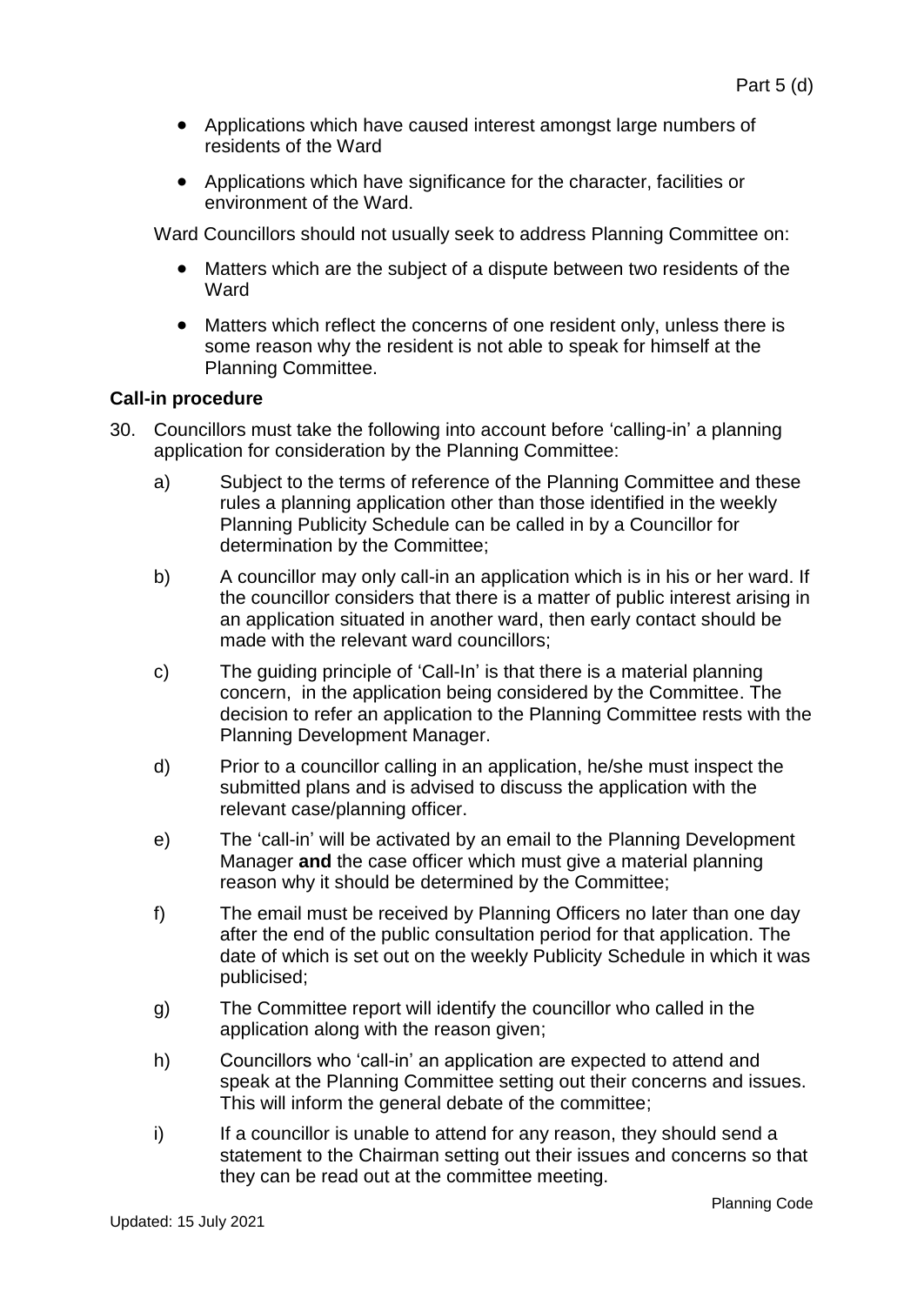- Applications which have caused interest amongst large numbers of residents of the Ward
- Applications which have significance for the character, facilities or environment of the Ward.

Ward Councillors should not usually seek to address Planning Committee on:

- Matters which are the subject of a dispute between two residents of the Ward
- Matters which reflect the concerns of one resident only, unless there is some reason why the resident is not able to speak for himself at the Planning Committee.

# **Call-in procedure**

- 30. Councillors must take the following into account before 'calling-in' a planning application for consideration by the Planning Committee:
	- a) Subject to the terms of reference of the Planning Committee and these rules a planning application other than those identified in the weekly Planning Publicity Schedule can be called in by a Councillor for determination by the Committee;
	- b) A councillor may only call-in an application which is in his or her ward. If the councillor considers that there is a matter of public interest arising in an application situated in another ward, then early contact should be made with the relevant ward councillors;
	- c) The guiding principle of 'Call-In' is that there is a material planning concern, in the application being considered by the Committee. The decision to refer an application to the Planning Committee rests with the Planning Development Manager.
	- d) Prior to a councillor calling in an application, he/she must inspect the submitted plans and is advised to discuss the application with the relevant case/planning officer.
	- e) The 'call-in' will be activated by an email to the Planning Development Manager **and** the case officer which must give a material planning reason why it should be determined by the Committee;
	- f) The email must be received by Planning Officers no later than one day after the end of the public consultation period for that application. The date of which is set out on the weekly Publicity Schedule in which it was publicised;
	- g) The Committee report will identify the councillor who called in the application along with the reason given;
	- h) Councillors who 'call-in' an application are expected to attend and speak at the Planning Committee setting out their concerns and issues. This will inform the general debate of the committee;
	- i) If a councillor is unable to attend for any reason, they should send a statement to the Chairman setting out their issues and concerns so that they can be read out at the committee meeting.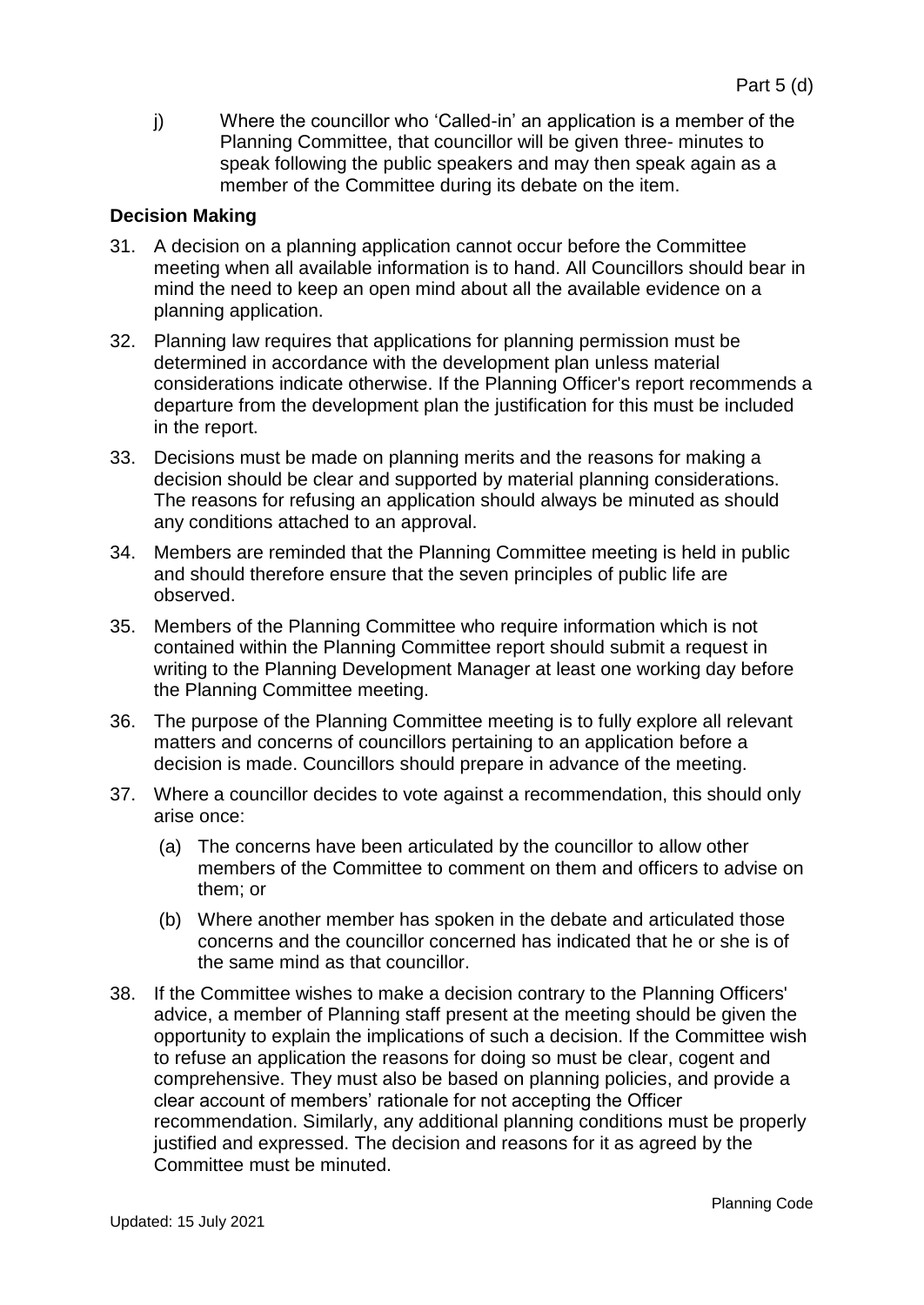j) Where the councillor who 'Called-in' an application is a member of the Planning Committee, that councillor will be given three- minutes to speak following the public speakers and may then speak again as a member of the Committee during its debate on the item.

# **Decision Making**

- 31. A decision on a planning application cannot occur before the Committee meeting when all available information is to hand. All Councillors should bear in mind the need to keep an open mind about all the available evidence on a planning application.
- 32. Planning law requires that applications for planning permission must be determined in accordance with the development plan unless material considerations indicate otherwise. If the Planning Officer's report recommends a departure from the development plan the justification for this must be included in the report.
- 33. Decisions must be made on planning merits and the reasons for making a decision should be clear and supported by material planning considerations. The reasons for refusing an application should always be minuted as should any conditions attached to an approval.
- 34. Members are reminded that the Planning Committee meeting is held in public and should therefore ensure that the seven principles of public life are observed.
- 35. Members of the Planning Committee who require information which is not contained within the Planning Committee report should submit a request in writing to the Planning Development Manager at least one working day before the Planning Committee meeting.
- 36. The purpose of the Planning Committee meeting is to fully explore all relevant matters and concerns of councillors pertaining to an application before a decision is made. Councillors should prepare in advance of the meeting.
- 37. Where a councillor decides to vote against a recommendation, this should only arise once:
	- (a) The concerns have been articulated by the councillor to allow other members of the Committee to comment on them and officers to advise on them; or
	- (b) Where another member has spoken in the debate and articulated those concerns and the councillor concerned has indicated that he or she is of the same mind as that councillor.
- 38. If the Committee wishes to make a decision contrary to the Planning Officers' advice, a member of Planning staff present at the meeting should be given the opportunity to explain the implications of such a decision. If the Committee wish to refuse an application the reasons for doing so must be clear, cogent and comprehensive. They must also be based on planning policies, and provide a clear account of members' rationale for not accepting the Officer recommendation. Similarly, any additional planning conditions must be properly justified and expressed. The decision and reasons for it as agreed by the Committee must be minuted.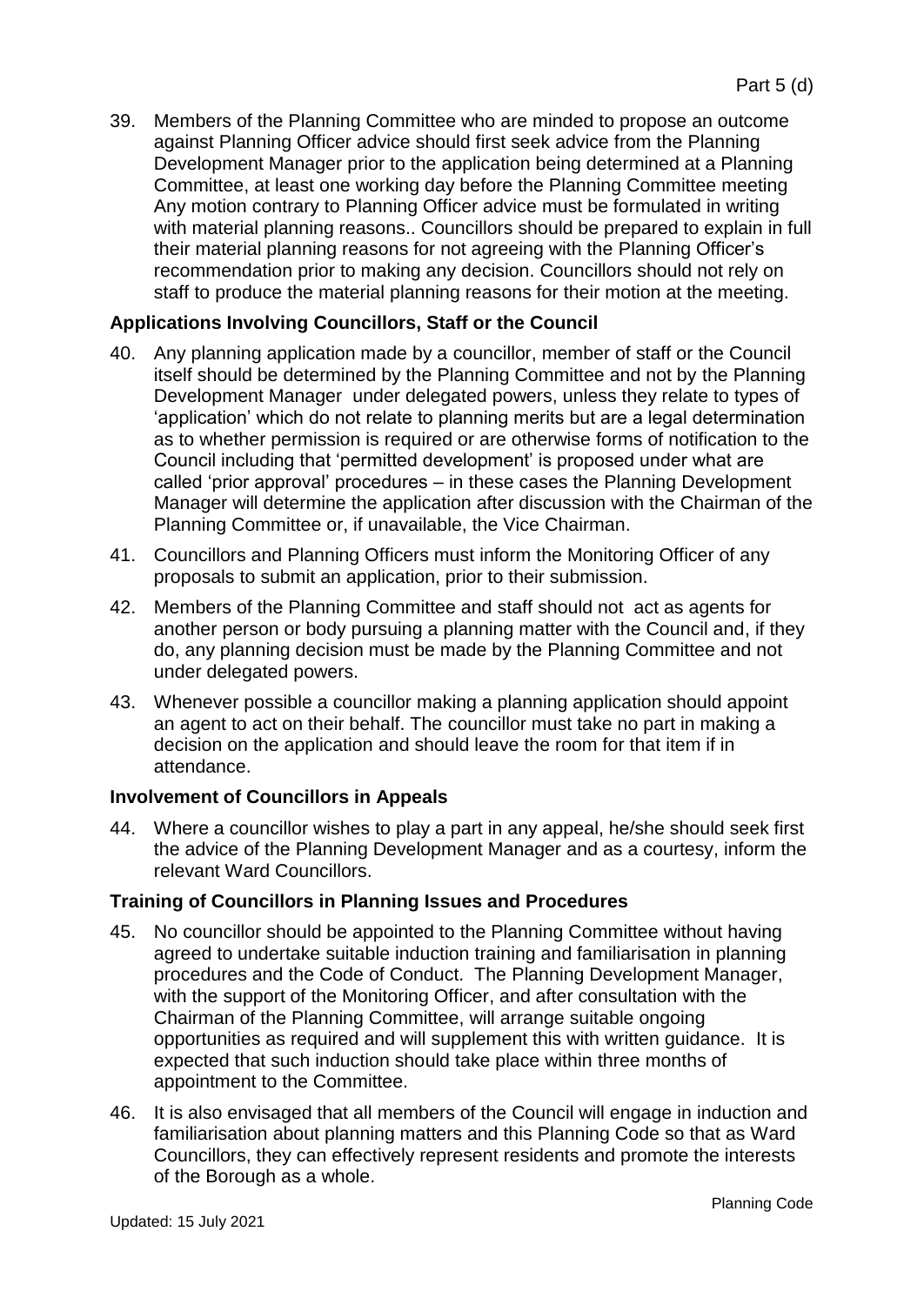39. Members of the Planning Committee who are minded to propose an outcome against Planning Officer advice should first seek advice from the Planning Development Manager prior to the application being determined at a Planning Committee, at least one working day before the Planning Committee meeting Any motion contrary to Planning Officer advice must be formulated in writing with material planning reasons.. Councillors should be prepared to explain in full their material planning reasons for not agreeing with the Planning Officer's recommendation prior to making any decision. Councillors should not rely on staff to produce the material planning reasons for their motion at the meeting.

# **Applications Involving Councillors, Staff or the Council**

- 40. Any planning application made by a councillor, member of staff or the Council itself should be determined by the Planning Committee and not by the Planning Development Manager under delegated powers, unless they relate to types of 'application' which do not relate to planning merits but are a legal determination as to whether permission is required or are otherwise forms of notification to the Council including that 'permitted development' is proposed under what are called 'prior approval' procedures – in these cases the Planning Development Manager will determine the application after discussion with the Chairman of the Planning Committee or, if unavailable, the Vice Chairman.
- 41. Councillors and Planning Officers must inform the Monitoring Officer of any proposals to submit an application, prior to their submission.
- 42. Members of the Planning Committee and staff should not act as agents for another person or body pursuing a planning matter with the Council and, if they do, any planning decision must be made by the Planning Committee and not under delegated powers.
- 43. Whenever possible a councillor making a planning application should appoint an agent to act on their behalf. The councillor must take no part in making a decision on the application and should leave the room for that item if in attendance.

#### **Involvement of Councillors in Appeals**

44. Where a councillor wishes to play a part in any appeal, he/she should seek first the advice of the Planning Development Manager and as a courtesy, inform the relevant Ward Councillors.

#### **Training of Councillors in Planning Issues and Procedures**

- 45. No councillor should be appointed to the Planning Committee without having agreed to undertake suitable induction training and familiarisation in planning procedures and the Code of Conduct. The Planning Development Manager, with the support of the Monitoring Officer, and after consultation with the Chairman of the Planning Committee, will arrange suitable ongoing opportunities as required and will supplement this with written guidance. It is expected that such induction should take place within three months of appointment to the Committee.
- 46. It is also envisaged that all members of the Council will engage in induction and familiarisation about planning matters and this Planning Code so that as Ward Councillors, they can effectively represent residents and promote the interests of the Borough as a whole.